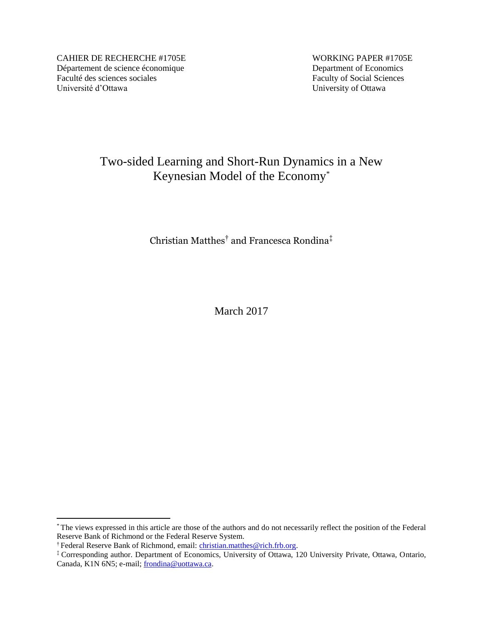CAHIER DE RECHERCHE #1705E WORKING PAPER #1705E Département de science économique<br>
Faculté des sciences sociales<br>
Faculty of Social Sciences Faculté des sciences sociales Université d'Ottawa University of Ottawa

# Two-sided Learning and Short-Run Dynamics in a New Keynesian Model of the Economy\*

Christian Matthes† and Francesca Rondina‡

March 2017

 $\overline{a}$ 

<sup>\*</sup> The views expressed in this article are those of the authors and do not necessarily reflect the position of the Federal Reserve Bank of Richmond or the Federal Reserve System.

<sup>&</sup>lt;sup>†</sup> Federal Reserve Bank of Richmond, email: [christian.matthes@rich.frb.org.](mailto:christian.matthes@rich.frb.org)

<sup>‡</sup> Corresponding author. Department of Economics, University of Ottawa, 120 University Private, Ottawa, Ontario, Canada, K1N 6N5; e-mail; [frondina@uottawa.ca.](mailto:frondina@uottawa.ca)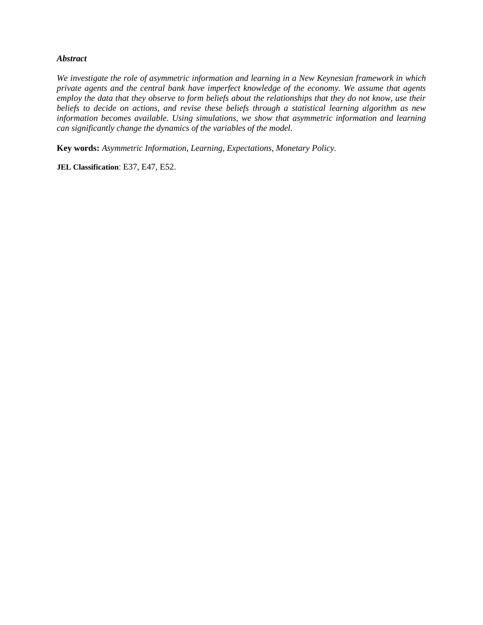#### *Abstract*

*We investigate the role of asymmetric information and learning in a New Keynesian framework in which private agents and the central bank have imperfect knowledge of the economy. We assume that agents employ the data that they observe to form beliefs about the relationships that they do not know, use their beliefs to decide on actions, and revise these beliefs through a statistical learning algorithm as new information becomes available. Using simulations, we show that asymmetric information and learning can significantly change the dynamics of the variables of the model.*

**Key words:** *Asymmetric Information, Learning, Expectations, Monetary Policy.*

**JEL Classification: E37, E47, E52.**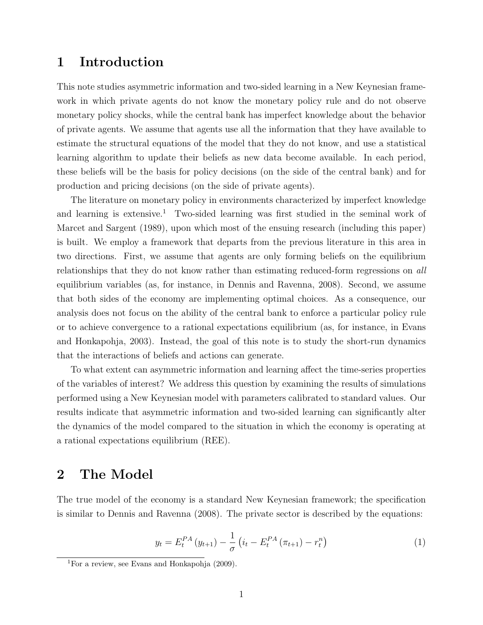## 1 Introduction

This note studies asymmetric information and two-sided learning in a New Keynesian framework in which private agents do not know the monetary policy rule and do not observe monetary policy shocks, while the central bank has imperfect knowledge about the behavior of private agents. We assume that agents use all the information that they have available to estimate the structural equations of the model that they do not know, and use a statistical learning algorithm to update their beliefs as new data become available. In each period, these beliefs will be the basis for policy decisions (on the side of the central bank) and for production and pricing decisions (on the side of private agents).

The literature on monetary policy in environments characterized by imperfect knowledge and learning is extensive.<sup>1</sup> Two-sided learning was first studied in the seminal work of Marcet and Sargent (1989), upon which most of the ensuing research (including this paper) is built. We employ a framework that departs from the previous literature in this area in two directions. First, we assume that agents are only forming beliefs on the equilibrium relationships that they do not know rather than estimating reduced-form regressions on all equilibrium variables (as, for instance, in Dennis and Ravenna, 2008). Second, we assume that both sides of the economy are implementing optimal choices. As a consequence, our analysis does not focus on the ability of the central bank to enforce a particular policy rule or to achieve convergence to a rational expectations equilibrium (as, for instance, in Evans and Honkapohja, 2003). Instead, the goal of this note is to study the short-run dynamics that the interactions of beliefs and actions can generate.

To what extent can asymmetric information and learning affect the time-series properties of the variables of interest? We address this question by examining the results of simulations performed using a New Keynesian model with parameters calibrated to standard values. Our results indicate that asymmetric information and two-sided learning can significantly alter the dynamics of the model compared to the situation in which the economy is operating at a rational expectations equilibrium (REE).

## 2 The Model

The true model of the economy is a standard New Keynesian framework; the specification is similar to Dennis and Ravenna (2008). The private sector is described by the equations:

$$
y_t = E_t^{PA} (y_{t+1}) - \frac{1}{\sigma} \left( i_t - E_t^{PA} (\pi_{t+1}) - r_t^n \right)
$$
 (1)

<sup>&</sup>lt;sup>1</sup>For a review, see Evans and Honkapohja  $(2009)$ .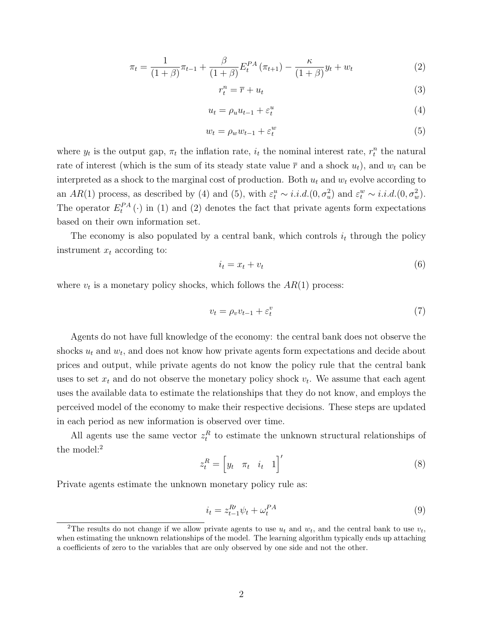$$
\pi_t = \frac{1}{(1+\beta)} \pi_{t-1} + \frac{\beta}{(1+\beta)} E_t^{PA} (\pi_{t+1}) - \frac{\kappa}{(1+\beta)} y_t + w_t \tag{2}
$$

$$
r_t^n = \overline{r} + u_t \tag{3}
$$

$$
u_t = \rho_u u_{t-1} + \varepsilon_t^u \tag{4}
$$

$$
w_t = \rho_w w_{t-1} + \varepsilon_t^w \tag{5}
$$

where  $y_t$  is the output gap,  $\pi_t$  the inflation rate,  $i_t$  the nominal interest rate,  $r_t^n$  the natural rate of interest (which is the sum of its steady state value  $\bar{r}$  and a shock  $u_t$ ), and  $w_t$  can be interpreted as a shock to the marginal cost of production. Both  $u_t$  and  $w_t$  evolve according to an  $AR(1)$  process, as described by (4) and (5), with  $\varepsilon_t^u \sim i.i.d. (0, \sigma_u^2)$  and  $\varepsilon_t^w \sim i.i.d. (0, \sigma_w^2)$ . The operator  $E_t^{PA}(\cdot)$  in (1) and (2) denotes the fact that private agents form expectations based on their own information set.

The economy is also populated by a central bank, which controls  $i_t$  through the policy instrument  $x_t$  according to:

$$
i_t = x_t + v_t \tag{6}
$$

where  $v_t$  is a monetary policy shocks, which follows the  $AR(1)$  process:

$$
v_t = \rho_v v_{t-1} + \varepsilon_t^v \tag{7}
$$

Agents do not have full knowledge of the economy: the central bank does not observe the shocks  $u_t$  and  $w_t$ , and does not know how private agents form expectations and decide about prices and output, while private agents do not know the policy rule that the central bank uses to set  $x_t$  and do not observe the monetary policy shock  $v_t$ . We assume that each agent uses the available data to estimate the relationships that they do not know, and employs the perceived model of the economy to make their respective decisions. These steps are updated in each period as new information is observed over time.

All agents use the same vector  $z_t^R$  to estimate the unknown structural relationships of the model:<sup>2</sup>

$$
z_t^R = \begin{bmatrix} y_t & \pi_t & i_t & 1 \end{bmatrix}' \tag{8}
$$

Private agents estimate the unknown monetary policy rule as:

$$
i_t = z_{t-1}^{R'} \psi_t + \omega_t^{PA} \tag{9}
$$

<sup>&</sup>lt;sup>2</sup>The results do not change if we allow private agents to use  $u_t$  and  $w_t$ , and the central bank to use  $v_t$ , when estimating the unknown relationships of the model. The learning algorithm typically ends up attaching a coefficients of zero to the variables that are only observed by one side and not the other.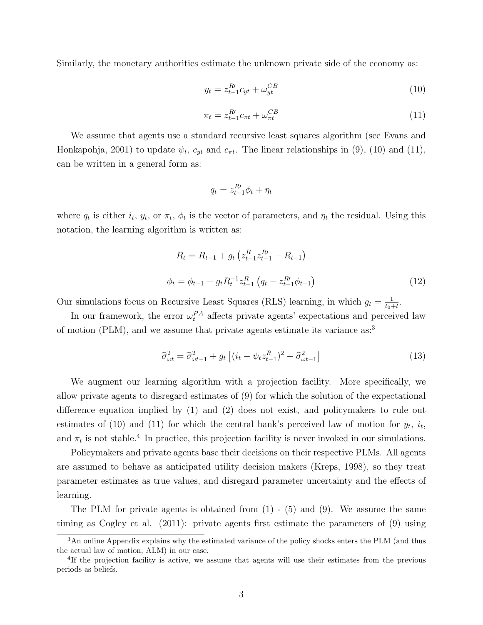Similarly, the monetary authorities estimate the unknown private side of the economy as:

$$
y_t = z_{t-1}^{R'} c_{yt} + \omega_{yt}^{CB}
$$
 (10)

$$
\pi_t = z_{t-1}^R c_{\pi t} + \omega_{\pi t}^{CB} \tag{11}
$$

We assume that agents use a standard recursive least squares algorithm (see Evans and Honkapohja, 2001) to update  $\psi_t$ ,  $c_{yt}$  and  $c_{\pi t}$ . The linear relationships in (9), (10) and (11), can be written in a general form as:

$$
q_t = z_{t-1}^{R\prime} \phi_t + \eta_t
$$

where  $q_t$  is either  $i_t$ ,  $y_t$ , or  $\pi_t$ ,  $\phi_t$  is the vector of parameters, and  $\eta_t$  the residual. Using this notation, the learning algorithm is written as:

$$
R_t = R_{t-1} + g_t \left( z_{t-1}^R z_{t-1}^R - R_{t-1} \right)
$$
  
\n
$$
\phi_t = \phi_{t-1} + g_t R_t^{-1} z_{t-1}^R \left( q_t - z_{t-1}^R \phi_{t-1} \right)
$$
\n(12)

Our simulations focus on Recursive Least Squares (RLS) learning, in which  $g_t = \frac{1}{t_0}$  $\frac{1}{t_0+t}$ .

In our framework, the error  $\omega_t^{PA}$  affects private agents' expectations and perceived law of motion (PLM), and we assume that private agents estimate its variance as:<sup>3</sup>

$$
\widehat{\sigma}_{\omega t}^2 = \widehat{\sigma}_{\omega t-1}^2 + g_t \left[ (i_t - \psi_t z_{t-1}^R)^2 - \widehat{\sigma}_{\omega t-1}^2 \right] \tag{13}
$$

We augment our learning algorithm with a projection facility. More specifically, we allow private agents to disregard estimates of (9) for which the solution of the expectational difference equation implied by (1) and (2) does not exist, and policymakers to rule out estimates of (10) and (11) for which the central bank's perceived law of motion for  $y_t$ ,  $i_t$ , and  $\pi_t$  is not stable.<sup>4</sup> In practice, this projection facility is never invoked in our simulations.

Policymakers and private agents base their decisions on their respective PLMs. All agents are assumed to behave as anticipated utility decision makers (Kreps, 1998), so they treat parameter estimates as true values, and disregard parameter uncertainty and the effects of learning.

The PLM for private agents is obtained from  $(1)$  -  $(5)$  and  $(9)$ . We assume the same timing as Cogley et al. (2011): private agents first estimate the parameters of (9) using

<sup>&</sup>lt;sup>3</sup>An online Appendix explains why the estimated variance of the policy shocks enters the PLM (and thus the actual law of motion, ALM) in our case.

<sup>&</sup>lt;sup>4</sup>If the projection facility is active, we assume that agents will use their estimates from the previous periods as beliefs.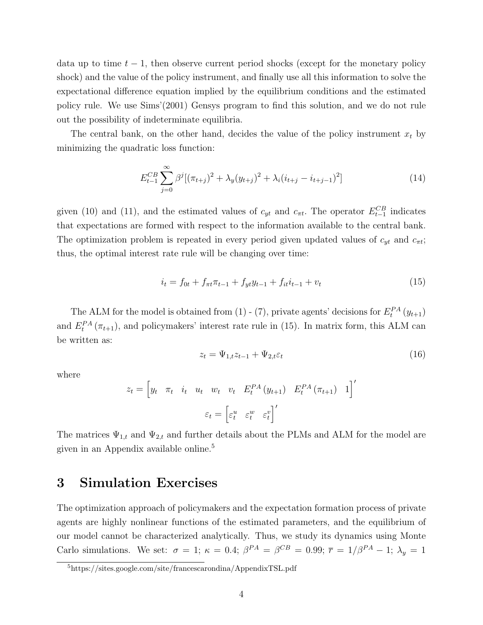data up to time  $t-1$ , then observe current period shocks (except for the monetary policy shock) and the value of the policy instrument, and finally use all this information to solve the expectational difference equation implied by the equilibrium conditions and the estimated policy rule. We use Sims'(2001) Gensys program to find this solution, and we do not rule out the possibility of indeterminate equilibria.

The central bank, on the other hand, decides the value of the policy instrument  $x_t$  by minimizing the quadratic loss function:

$$
E_{t-1}^{CB} \sum_{j=0}^{\infty} \beta^j [(\pi_{t+j})^2 + \lambda_y (y_{t+j})^2 + \lambda_i (i_{t+j} - i_{t+j-1})^2]
$$
\n(14)

given (10) and (11), and the estimated values of  $c_{yt}$  and  $c_{\pi t}$ . The operator  $E_{t-1}^{CB}$  indicates that expectations are formed with respect to the information available to the central bank. The optimization problem is repeated in every period given updated values of  $c_{yt}$  and  $c_{\pi t}$ ; thus, the optimal interest rate rule will be changing over time:

$$
i_t = f_{0t} + f_{\pi t} \pi_{t-1} + f_{yt} y_{t-1} + f_{it} i_{t-1} + v_t
$$
\n(15)

The ALM for the model is obtained from (1) - (7), private agents' decisions for  $E_t^{PA}(y_{t+1})$ and  $E_t^{PA}(\pi_{t+1})$ , and policymakers' interest rate rule in (15). In matrix form, this ALM can be written as:

$$
z_t = \Psi_{1,t} z_{t-1} + \Psi_{2,t} \varepsilon_t \tag{16}
$$

where

$$
z_t = \begin{bmatrix} y_t & \pi_t & i_t & u_t & w_t & v_t & E_t^{PA}(y_{t+1}) & E_t^{PA}(\pi_{t+1}) & 1 \end{bmatrix}'
$$

$$
\varepsilon_t = \begin{bmatrix} \varepsilon_t^u & \varepsilon_t^w & \varepsilon_t^v \end{bmatrix}'
$$

The matrices  $\Psi_{1,t}$  and  $\Psi_{2,t}$  and further details about the PLMs and ALM for the model are given in an Appendix available online.<sup>5</sup>

## 3 Simulation Exercises

The optimization approach of policymakers and the expectation formation process of private agents are highly nonlinear functions of the estimated parameters, and the equilibrium of our model cannot be characterized analytically. Thus, we study its dynamics using Monte Carlo simulations. We set:  $\sigma = 1$ ;  $\kappa = 0.4$ ;  $\beta^{PA} = \beta^{CB} = 0.99$ ;  $\bar{r} = 1/\beta^{PA} - 1$ ;  $\lambda_y = 1$ 

<sup>5</sup>https://sites.google.com/site/francescarondina/AppendixTSL.pdf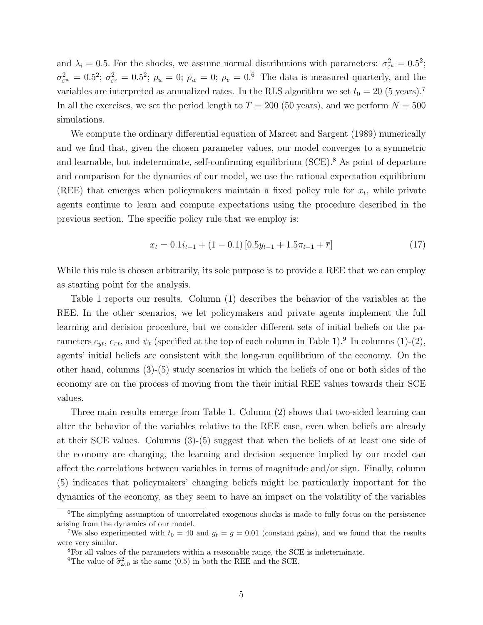and  $\lambda_i = 0.5$ . For the shocks, we assume normal distributions with parameters:  $\sigma_{\varepsilon^u}^2 = 0.5^2$ ;  $\sigma_{\varepsilon^w}^2 = 0.5^2$ ;  $\sigma_{\varepsilon^v}^2 = 0.5^2$ ;  $\rho_u = 0$ ;  $\rho_w = 0$ ;  $\rho_v = 0.6$  The data is measured quarterly, and the variables are interpreted as annualized rates. In the RLS algorithm we set  $t_0 = 20$  (5 years).<sup>7</sup> In all the exercises, we set the period length to  $T = 200$  (50 years), and we perform  $N = 500$ simulations.

We compute the ordinary differential equation of Marcet and Sargent (1989) numerically and we find that, given the chosen parameter values, our model converges to a symmetric and learnable, but indeterminate, self-confirming equilibrium  $(SCE)^{8}$ . As point of departure and comparison for the dynamics of our model, we use the rational expectation equilibrium (REE) that emerges when policymakers maintain a fixed policy rule for  $x_t$ , while private agents continue to learn and compute expectations using the procedure described in the previous section. The specific policy rule that we employ is:

$$
x_t = 0.1i_{t-1} + (1 - 0.1)[0.5y_{t-1} + 1.5\pi_{t-1} + \bar{r}]
$$
\n(17)

While this rule is chosen arbitrarily, its sole purpose is to provide a REE that we can employ as starting point for the analysis.

Table 1 reports our results. Column (1) describes the behavior of the variables at the REE. In the other scenarios, we let policymakers and private agents implement the full learning and decision procedure, but we consider different sets of initial beliefs on the parameters  $c_{yt}$ ,  $c_{\pi t}$ , and  $\psi_t$  (specified at the top of each column in Table 1).<sup>9</sup> In columns (1)-(2), agents' initial beliefs are consistent with the long-run equilibrium of the economy. On the other hand, columns (3)-(5) study scenarios in which the beliefs of one or both sides of the economy are on the process of moving from the their initial REE values towards their SCE values.

Three main results emerge from Table 1. Column (2) shows that two-sided learning can alter the behavior of the variables relative to the REE case, even when beliefs are already at their SCE values. Columns (3)-(5) suggest that when the beliefs of at least one side of the economy are changing, the learning and decision sequence implied by our model can affect the correlations between variables in terms of magnitude and/or sign. Finally, column (5) indicates that policymakers' changing beliefs might be particularly important for the dynamics of the economy, as they seem to have an impact on the volatility of the variables

 $6$ The simply fing assumption of uncorrelated exogenous shocks is made to fully focus on the persistence arising from the dynamics of our model.

<sup>&</sup>lt;sup>7</sup>We also experimented with  $t_0 = 40$  and  $g_t = g = 0.01$  (constant gains), and we found that the results were very similar.

<sup>8</sup>For all values of the parameters within a reasonable range, the SCE is indeterminate.

<sup>&</sup>lt;sup>9</sup>The value of  $\hat{\sigma}^2_{\omega,0}$  is the same (0.5) in both the REE and the SCE.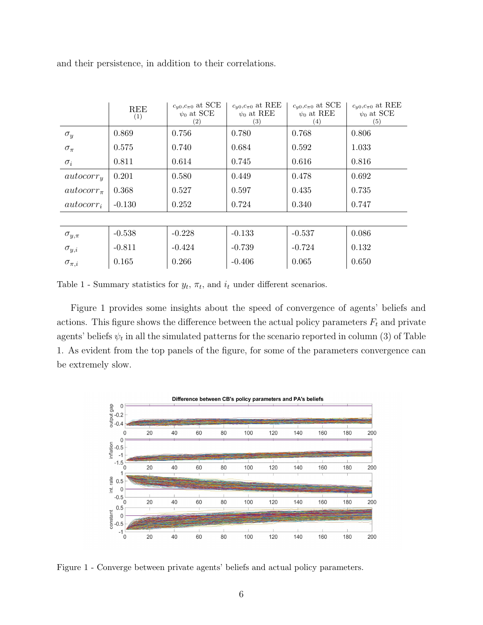|                  | REE<br>(1) | $c_{y0}, c_{\pi0}$ at SCE<br>$\psi_0$ at SCE<br>(2) | $c_{y0}, c_{\pi0}$ at REE<br>$\psi_0$ at REE<br>(3) | $c_{y0}, c_{\pi0}$ at SCE<br>$\psi_0$ at REE<br>(4) | $c_{y0}, c_{\pi0}$ at REE<br>$\psi_0$ at SCE<br>(5) |
|------------------|------------|-----------------------------------------------------|-----------------------------------------------------|-----------------------------------------------------|-----------------------------------------------------|
| $\sigma_y$       | 0.869      | 0.756                                               | 0.780                                               | 0.768                                               | 0.806                                               |
| $\sigma_{\pi}$   | 0.575      | 0.740                                               | 0.684                                               | 0.592                                               | 1.033                                               |
| $\sigma_i$       | 0.811      | 0.614                                               | 0.745                                               | 0.616                                               | 0.816                                               |
| $autocorr_{y}$   | 0.201      | 0.580                                               | 0.449                                               | 0.478                                               | 0.692                                               |
| $autocorr_{\pi}$ | 0.368      | 0.527                                               | 0.597                                               | 0.435                                               | 0.735                                               |
| $autocorr_i$     | $-0.130$   | 0.252                                               | 0.724                                               | 0.340                                               | 0.747                                               |
|                  |            |                                                     |                                                     |                                                     |                                                     |
| $\sigma_{y,\pi}$ | $-0.538$   | $-0.228$                                            | $-0.133$                                            | $-0.537$                                            | 0.086                                               |
| $\sigma_{y,i}$   | $-0.811$   | $-0.424$                                            | $-0.739$                                            | $-0.724$                                            | 0.132                                               |
| $\sigma_{\pi,i}$ | 0.165      | 0.266                                               | $-0.406$                                            | 0.065                                               | 0.650                                               |

and their persistence, in addition to their correlations.

Table 1 - Summary statistics for  $y_t$ ,  $\pi_t$ , and  $i_t$  under different scenarios.

Figure 1 provides some insights about the speed of convergence of agents' beliefs and actions. This figure shows the difference between the actual policy parameters  $F_t$  and private agents' beliefs  $\psi_t$  in all the simulated patterns for the scenario reported in column (3) of Table 1. As evident from the top panels of the figure, for some of the parameters convergence can be extremely slow.



Figure 1 - Converge between private agents' beliefs and actual policy parameters.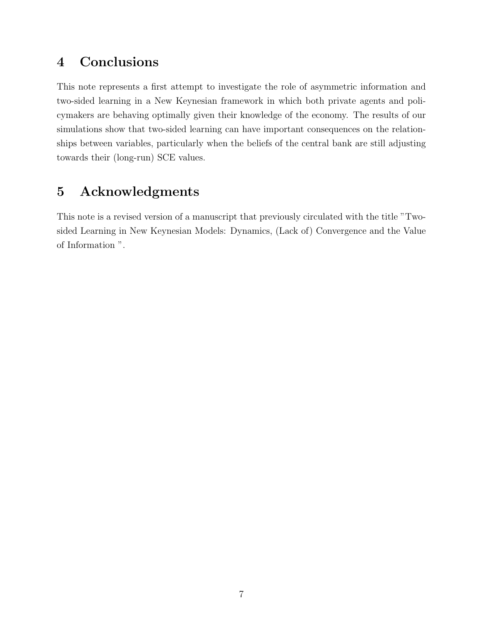# 4 Conclusions

This note represents a first attempt to investigate the role of asymmetric information and two-sided learning in a New Keynesian framework in which both private agents and policymakers are behaving optimally given their knowledge of the economy. The results of our simulations show that two-sided learning can have important consequences on the relationships between variables, particularly when the beliefs of the central bank are still adjusting towards their (long-run) SCE values.

# 5 Acknowledgments

This note is a revised version of a manuscript that previously circulated with the title "Twosided Learning in New Keynesian Models: Dynamics, (Lack of) Convergence and the Value of Information ".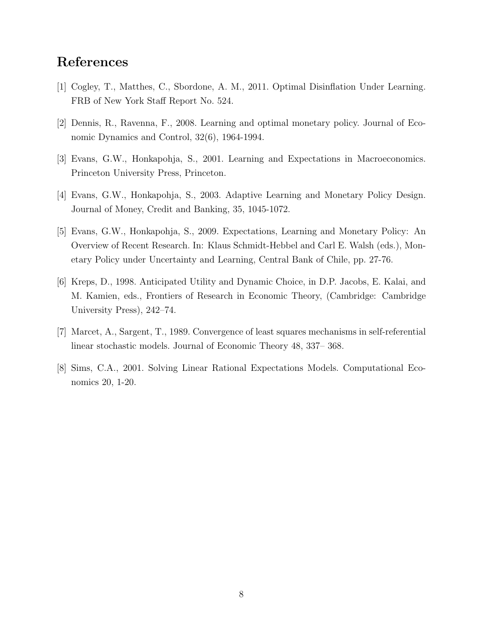# References

- [1] Cogley, T., Matthes, C., Sbordone, A. M., 2011. Optimal Disinflation Under Learning. FRB of New York Staff Report No. 524.
- [2] Dennis, R., Ravenna, F., 2008. Learning and optimal monetary policy. Journal of Economic Dynamics and Control, 32(6), 1964-1994.
- [3] Evans, G.W., Honkapohja, S., 2001. Learning and Expectations in Macroeconomics. Princeton University Press, Princeton.
- [4] Evans, G.W., Honkapohja, S., 2003. Adaptive Learning and Monetary Policy Design. Journal of Money, Credit and Banking, 35, 1045-1072.
- [5] Evans, G.W., Honkapohja, S., 2009. Expectations, Learning and Monetary Policy: An Overview of Recent Research. In: Klaus Schmidt-Hebbel and Carl E. Walsh (eds.), Monetary Policy under Uncertainty and Learning, Central Bank of Chile, pp. 27-76.
- [6] Kreps, D., 1998. Anticipated Utility and Dynamic Choice, in D.P. Jacobs, E. Kalai, and M. Kamien, eds., Frontiers of Research in Economic Theory, (Cambridge: Cambridge University Press), 242–74.
- [7] Marcet, A., Sargent, T., 1989. Convergence of least squares mechanisms in self-referential linear stochastic models. Journal of Economic Theory 48, 337– 368.
- [8] Sims, C.A., 2001. Solving Linear Rational Expectations Models. Computational Economics 20, 1-20.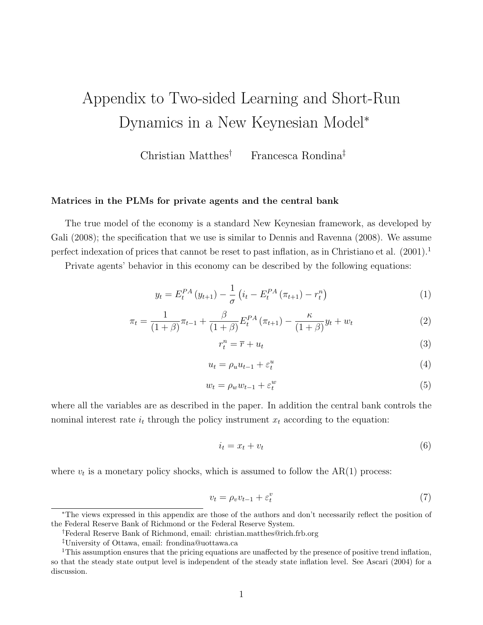# Appendix to Two-sided Learning and Short-Run Dynamics in a New Keynesian Model<sup>∗</sup>

Christian Matthes† Francesca Rondina‡

#### Matrices in the PLMs for private agents and the central bank

The true model of the economy is a standard New Keynesian framework, as developed by Gali  $(2008)$ ; the specification that we use is similar to Dennis and Ravenna  $(2008)$ . We assume perfect indexation of prices that cannot be reset to past inflation, as in Christiano et al.  $(2001)^{1}$ 

Private agents' behavior in this economy can be described by the following equations:

$$
y_t = E_t^{PA} (y_{t+1}) - \frac{1}{\sigma} \left( i_t - E_t^{PA} (\pi_{t+1}) - r_t^n \right)
$$
 (1)

$$
\pi_t = \frac{1}{(1+\beta)} \pi_{t-1} + \frac{\beta}{(1+\beta)} E_t^{PA} (\pi_{t+1}) - \frac{\kappa}{(1+\beta)} y_t + w_t \tag{2}
$$

$$
r_t^n = \overline{r} + u_t \tag{3}
$$

$$
u_t = \rho_u u_{t-1} + \varepsilon_t^u \tag{4}
$$

$$
w_t = \rho_w w_{t-1} + \varepsilon_t^w \tag{5}
$$

where all the variables are as described in the paper. In addition the central bank controls the nominal interest rate  $i_t$  through the policy instrument  $x_t$  according to the equation:

$$
i_t = x_t + v_t \tag{6}
$$

where  $v_t$  is a monetary policy shocks, which is assumed to follow the  $AR(1)$  process:

$$
v_t = \rho_v v_{t-1} + \varepsilon_t^v \tag{7}
$$

<sup>∗</sup>The views expressed in this appendix are those of the authors and don't necessarily reflect the position of the Federal Reserve Bank of Richmond or the Federal Reserve System.

<sup>†</sup>Federal Reserve Bank of Richmond, email: christian.matthes@rich.frb.org

<sup>‡</sup>University of Ottawa, email: frondina@uottawa.ca

<sup>&</sup>lt;sup>1</sup>This assumption ensures that the pricing equations are unaffected by the presence of positive trend inflation, so that the steady state output level is independent of the steady state inflation level. See Ascari (2004) for a discussion.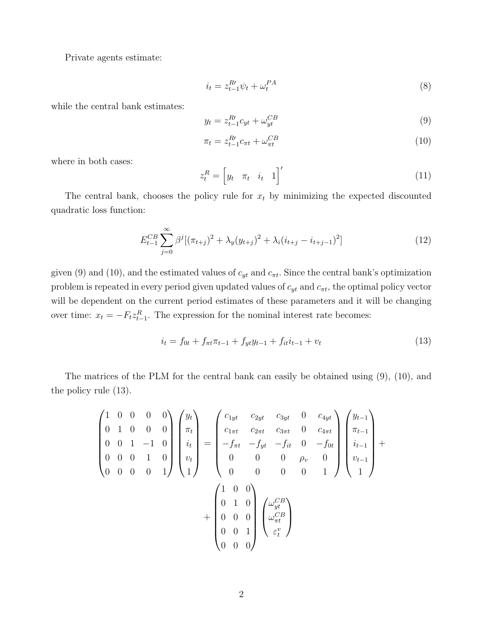Private agents estimate:

$$
i_t = z_{t-1}^{R'} \psi_t + \omega_t^{PA} \tag{8}
$$

while the central bank estimates:

$$
y_t = z_{t-1}^{R'} c_{yt} + \omega_{yt}^{CB} \tag{9}
$$

$$
\pi_t = z_{t-1}^R c_{\pi t} + \omega_{\pi t}^{CB} \tag{10}
$$

where in both cases:

$$
z_t^R = \begin{bmatrix} y_t & \pi_t & i_t & 1 \end{bmatrix}' \tag{11}
$$

The central bank, chooses the policy rule for  $x_t$  by minimizing the expected discounted quadratic loss function:

$$
E_{t-1}^{CB} \sum_{j=0}^{\infty} \beta^j [(\pi_{t+j})^2 + \lambda_y (y_{t+j})^2 + \lambda_i (i_{t+j} - i_{t+j-1})^2]
$$
\n(12)

given (9) and (10), and the estimated values of  $c_{yt}$  and  $c_{\pi t}$ . Since the central bank's optimization problem is repeated in every period given updated values of  $c_{yt}$  and  $c_{\pi t}$ , the optimal policy vector will be dependent on the current period estimates of these parameters and it will be changing over time:  $x_t = -F_t z_{t-1}^R$ . The expression for the nominal interest rate becomes:

$$
i_t = f_{0t} + f_{\pi t} \pi_{t-1} + f_{yt} y_{t-1} + f_{it} i_{t-1} + v_t \tag{13}
$$

The matrices of the PLM for the central bank can easily be obtained using (9), (10), and the policy rule (13).

$$
\begin{pmatrix}\n1 & 0 & 0 & 0 & 0 \\
0 & 1 & 0 & 0 & 0 \\
0 & 0 & 1 & -1 & 0 \\
0 & 0 & 0 & 1 & 0 \\
0 & 0 & 0 & 0 & 1\n\end{pmatrix}\n\begin{pmatrix}\ny_t \\
\pi_t \\
i_t \\
v_t \\
1\n\end{pmatrix} =\n\begin{pmatrix}\nc_{1yt} & c_{2yt} & c_{3yt} & 0 & c_{4yt} \\
c_{1\pi t} & c_{2\pi t} & c_{3\pi t} & 0 & c_{4\pi t} \\
-f_{\pi t} & -f_{yt} & -f_{it} & 0 & -f_{0t} \\
0 & 0 & 0 & 0 & \rho_v & 0 \\
0 & 0 & 0 & 0 & 1\n\end{pmatrix}\n\begin{pmatrix}\ny_{t-1} \\
i_{t-1} \\
v_{t-1} \\
1\n\end{pmatrix} +\n\begin{pmatrix}\n1 & 0 & 0 \\
0 & 1 & 0 \\
0 & 0 & 0 \\
0 & 0 & 1\n\end{pmatrix}\n\begin{pmatrix}\n\omega_{yt}^{CB} \\
\omega_{\pi t}^{CB} \\
\varepsilon_t^v\n\end{pmatrix}
$$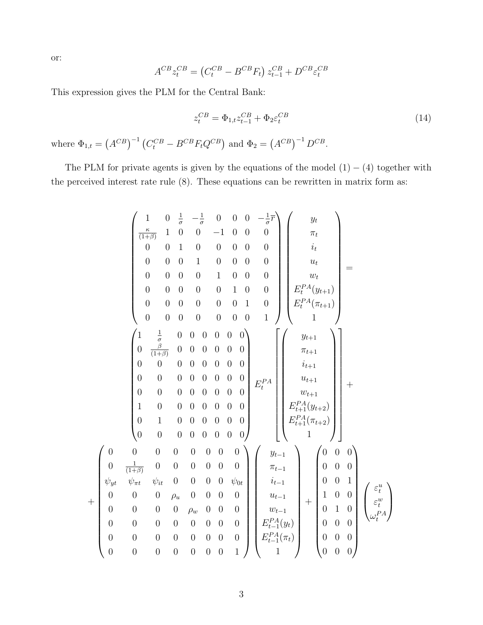or:

 $\boldsymbol{+}$ 

$$
A^{CB}z_t^{CB} = (C_t^{CB} - B^{CB}F_t) z_{t-1}^{CB} + D^{CB}\varepsilon_t^{CB}
$$

This expression gives the PLM for the Central Bank:

$$
z_t^{CB} = \Phi_{1,t} z_{t-1}^{CB} + \Phi_2 \varepsilon_t^{CB}
$$
 (14)

where  $\Phi_{1,t} = (A^{CB})^{-1} (C_t^{CB} - B^{CB} F_t Q^{CB})$  and  $\Phi_2 = (A^{CB})^{-1} D^{CB}$ .

The PLM for private agents is given by the equations of the model  $(1) - (4)$  together with the perceived interest rate rule (8). These equations can be rewritten in matrix form as:

$$
\begin{pmatrix}\n1 & 0 & \frac{1}{\sigma} & -\frac{1}{\sigma} & 0 & 0 & 0 & -\frac{1}{\sigma} \\
\frac{\kappa}{(1+\beta)} & 1 & 0 & 0 & -1 & 0 & 0 & 0 \\
0 & 0 & 1 & 0 & 0 & 0 & 0 & 0 \\
0 & 0 & 0 & 1 & 0 & 0 & 0 & 0 \\
0 & 0 & 0 & 0 & 0 & 1 & 0 & 0 \\
0 & 0 & 0 & 0 & 0 & 0 & 1 & 0 \\
0 & 0 & 0 & 0 & 0 & 0 & 0 & 1\n\end{pmatrix}\n\begin{pmatrix}\ny_t \\
y_t \\
y_t \\
y_t \\
E_t^{PA}(y_{t+1})\n\end{pmatrix} = \n\begin{pmatrix}\n1 & \frac{1}{\sigma} & 0 & 0 & 0 & 0 & 0 & 0 \\
0 & \frac{\beta}{(1+\beta)} & 0 & 0 & 0 & 0 & 0 & 0 \\
0 & 0 & 0 & 0 & 0 & 0 & 0 & 0 \\
0 & 0 & 0 & 0 & 0 & 0 & 0 & 0 \\
0 & 0 & 0 & 0 & 0 & 0 & 0 & 0 \\
0 & 0 & 0 & 0 & 0 & 0 & 0 & 0 \\
0 & 1 & 0 & 0 & 0 & 0 & 0 & 0 \\
0 & 0 & 0 & 0 & 0 & 0 & 0 & 0 \\
0 & 0 & 0 & 0 & 0 & 0 & 0 & 0 \\
0 & 0 & 0 & 0 & 0 & 0 & 0 & 0 \\
0 & 0 & 0 & 0 & 0 & 0 & 0 & 0 \\
0 & 0 & 0 & 0 & 0 & 0 & 0 & 0 \\
0 & 0 & 0 & 0 & 0 & 0 & 0 & 0 \\
0 & 0 & 0 & 0 & 0 & 0 & 0 & 0 \\
0 & 0 & 0 & 0 & 0 & 0 & 0 & 0 \\
0 & 0 & 0 & 0 & 0 & 0 & 0 & 0 \\
0 & 0 & 0 & 0 & 0 & 0 & 0 & 0 \\
0 & 0 & 0 & 0 & 0 & 0 & 0 & 0 \\
0 & 0 & 0 & 0 & 0 & 0 & 0 & 0 \\
0 & 0 & 0 & 0 & 0 & 0 & 0 & 0 \\
0 & 0 & 0 & 0 & 0 & 0 & 0 & 1\n\end{pmatrix}\n\begin{pm
$$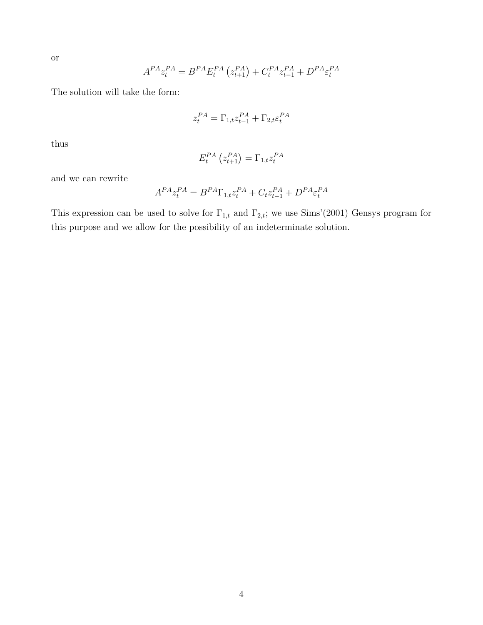or

$$
A^{PA}z_t^{PA} = B^{PA}E_t^{PA} (z_{t+1}^{PA}) + C_t^{PA}z_{t-1}^{PA} + D^{PA}\varepsilon_t^{PA}
$$

The solution will take the form:

$$
z_t^{PA} = \Gamma_{1,t} z_{t-1}^{PA} + \Gamma_{2,t} \varepsilon_t^{PA}
$$

thus

$$
E_t^{PA}\left(z_{t+1}^{PA}\right) = \Gamma_{1,t} z_t^{PA}
$$

and we can rewrite

$$
A^{PA}z_t^{PA} = B^{PA}\Gamma_{1,t}z_t^{PA} + C_t z_{t-1}^{PA} + D^{PA}\varepsilon_t^{PA}
$$

This expression can be used to solve for  $\Gamma_{1,t}$  and  $\Gamma_{2,t}$ ; we use Sims'(2001) Gensys program for this purpose and we allow for the possibility of an indeterminate solution.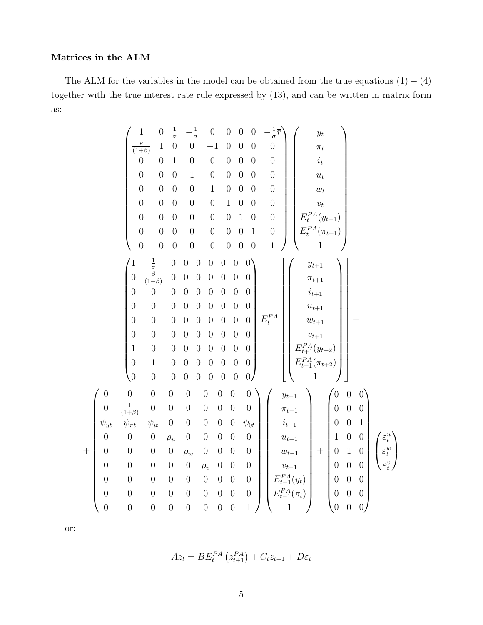#### Matrices in the ALM

The ALM for the variables in the model can be obtained from the true equations  $(1) - (4)$ together with the true interest rate rule expressed by (13), and can be written in matrix form as:

$$
\begin{pmatrix}\n1 & 0 & \frac{1}{\sigma} & -\frac{1}{\sigma} & 0 & 0 & 0 & 0 & -\frac{1}{\sigma} \\
\frac{\kappa}{(1+\beta)} & 1 & 0 & 0 & -1 & 0 & 0 & 0 & 0 \\
0 & 0 & 1 & 0 & 0 & 0 & 0 & 0 & 0 \\
0 & 0 & 0 & 1 & 0 & 0 & 0 & 0 & 0 \\
0 & 0 & 0 & 0 & 1 & 0 & 0 & 0 & 0 \\
0 & 0 & 0 & 0 & 0 & 0 & 1 & 0 & 0 \\
0 & 0 & 0 & 0 & 0 & 0 & 0 & 1 & 0 \\
0 & 0 & 0 & 0 & 0 & 0 & 0 & 0 & 1 \\
0 & 0 & 0 & 0 & 0 & 0 & 0 & 0 & 1 \\
0 & \frac{\beta}{(\beta+\beta)} & 0 & 0 & 0 & 0 & 0 & 0 & 0 \\
0 & 0 & 0 & 0 & 0 & 0 & 0 & 0 & 0 \\
0 & 0 & 0 & 0 & 0 & 0 & 0 & 0 & 0 \\
0 & 0 & 0 & 0 & 0 & 0 & 0 & 0 & 0 \\
0 & 0 & 0 & 0 & 0 & 0 & 0 & 0 & 0 \\
0 & 0 & 0 & 0 & 0 & 0 & 0 & 0 & 0 \\
0 & 0 & 0 & 0 & 0 & 0 & 0 & 0 & 0 \\
0 & 0 & 0 & 0 & 0 & 0 & 0 & 0 & 0 \\
0 & 0 & 0 & 0 & 0 & 0 & 0 & 0 & 0 \\
0 & 0 & 0 & 0 & 0 & 0 & 0 & 0 & 0 \\
0 & 0 & 0 & 0 & 0 & 0 & 0 & 0 & 0 \\
0 & 0 & 0 & 0 & 0 & 0 & 0 & 0 & 0 \\
0 & 0 & 0 & 0 & 0 & 0 & 0 & 0 & 0 \\
0 & 0 & 0 & 0 & 0 & 0 & 0 & 0 & 0 \\
0 & 0 & 0 & 0 & 0 & 0 & 0 & 0 & 0 \\
0 & 0 & 0 & 0 & 0 & 0 & 0 & 0 & 0 \\
0 & 0 & 0 & 0 & 0 & 0 & 0 & 0 & 0 \\
0 & 0 & 0 & 0 & 0 & 0 & 0 & 0 & 0 \\
0 & 0 & 0 & 0 & 0
$$

or:

 $^{+}$ 

$$
Az_t = BE_t^{PA} (z_{t+1}^{PA}) + C_t z_{t-1} + D\varepsilon_t
$$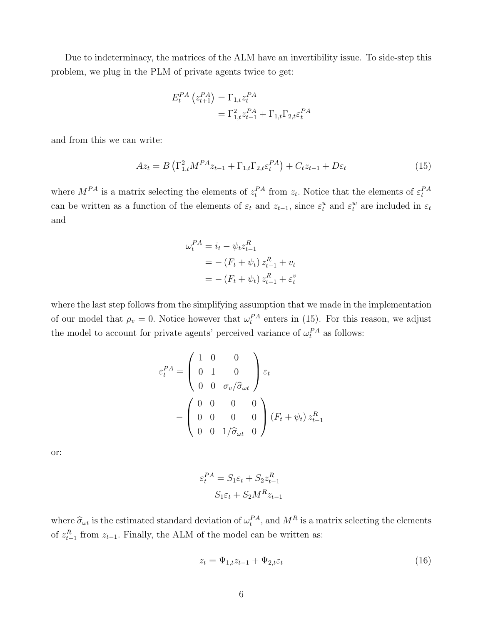Due to indeterminacy, the matrices of the ALM have an invertibility issue. To side-step this problem, we plug in the PLM of private agents twice to get:

$$
E_t^{PA} (z_{t+1}^{PA}) = \Gamma_{1,t} z_t^{PA}
$$
  
=  $\Gamma_{1,t}^2 z_{t-1}^{PA} + \Gamma_{1,t} \Gamma_{2,t} \varepsilon_t^{PA}$ 

and from this we can write:

$$
Az_{t} = B\left(\Gamma_{1,t}^{2}M^{PA}z_{t-1} + \Gamma_{1,t}\Gamma_{2,t}\varepsilon_{t}^{PA}\right) + C_{t}z_{t-1} + D\varepsilon_{t}
$$
\n(15)

where  $M^{PA}$  is a matrix selecting the elements of  $z_t^{PA}$  from  $z_t$ . Notice that the elements of  $\varepsilon_t^{PA}$ can be written as a function of the elements of  $\varepsilon_t$  and  $z_{t-1}$ , since  $\varepsilon_t^u$  and  $\varepsilon_t^w$  are included in  $\varepsilon_t$ and

$$
\omega_t^{PA} = i_t - \psi_t z_{t-1}^R
$$
  
= - (F\_t + \psi\_t) z\_{t-1}^R + v\_t  
= -(F\_t + \psi\_t) z\_{t-1}^R + \varepsilon\_t^v

where the last step follows from the simplifying assumption that we made in the implementation of our model that  $\rho_v = 0$ . Notice however that  $\omega_t^{PA}$  enters in (15). For this reason, we adjust the model to account for private agents' perceived variance of  $\omega_t^{PA}$  as follows:

$$
\varepsilon_t^{PA} = \begin{pmatrix} 1 & 0 & 0 \\ 0 & 1 & 0 \\ 0 & 0 & \sigma_v / \hat{\sigma}_{\omega t} \end{pmatrix} \varepsilon_t
$$

$$
- \begin{pmatrix} 0 & 0 & 0 & 0 \\ 0 & 0 & 0 & 0 \\ 0 & 0 & 1 / \hat{\sigma}_{\omega t} & 0 \end{pmatrix} (F_t + \psi_t) z_{t-1}^R
$$

or:

$$
\varepsilon_t^{PA} = S_1 \varepsilon_t + S_2 z_{t-1}^R
$$

$$
S_1 \varepsilon_t + S_2 M^R z_{t-1}
$$

where  $\hat{\sigma}_{\omega t}$  is the estimated standard deviation of  $\omega_t^{PA}$ , and  $M^R$  is a matrix selecting the elements of  $z_{t-1}^R$  from  $z_{t-1}$ . Finally, the ALM of the model can be written as:

$$
z_t = \Psi_{1,t} z_{t-1} + \Psi_{2,t} \varepsilon_t \tag{16}
$$